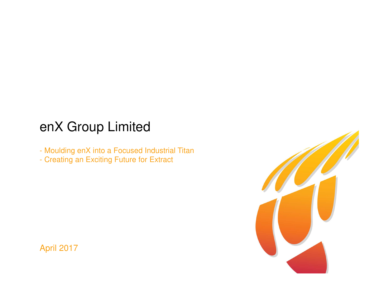# enX Group Limited

- Moulding enX into a Focused Industrial Titan
- Creating an Exciting Future for Extract



April 2017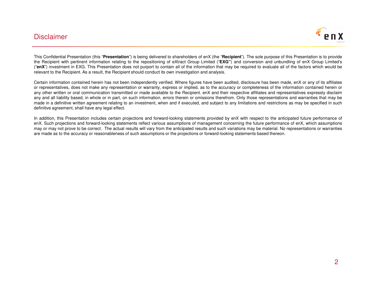### Disclaimer



This Confidential Presentation (this "**Presentation**") is being delivered to shareholders of enX (the "**Recipient**"). The sole purpose of this Presentation is to provide the Recipient with pertinent information relating to the repositioning of eXtract Group Limited ("**EXG"**) and conversion and unbundling of enX Group Limited's ("**enX**") investment in EXG. This Presentation does not purport to contain all of the information that may be required to evaluate all of the factors which would berelevant to the Recipient. As <sup>a</sup> result, the Recipient should conduct its own investigation and analysis.

Certain information contained herein has not been independently verified. Where figures have been audited, disclosure has been made, enX or any of its affiliates or representatives, does not make any representation or warranty, express or implied, as to the accuracy or completeness of the information contained herein or any other written or oral communication transmitted or made available to the Recipient. enX and their respective affiliates and representatives expressly disclaim any and all liability based, in whole or in part, on such information, errors therein or omissions therefrom. Only those representations and warranties that may be made in <sup>a</sup> definitive written agreement relating to an investment, when and if executed, and subject to any limitations and restrictions as may be specified in suchdefinitive agreement, shall have any legal effect.

In addition, this Presentation includes certain projections and forward-looking statements provided by enX with respect to the anticipated future performance of enX. Such projections and forward-looking statements reflect various assumptions of management concerning the future performance of enX, which assumptions may or may not prove to be correct. The actual results will vary from the anticipated results and such variations may be material. No representations or warrantiesare made as to the accuracy or reasonableness of such assumptions or the projections or forward-looking statements based thereon.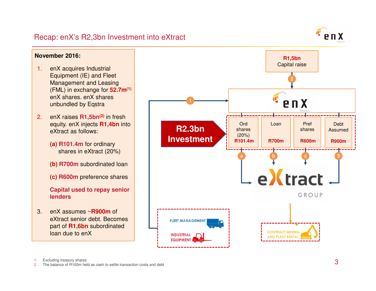

1.Excluding treasury shares

 The balance of R100m held as cash to settle transaction costs and debt 2.

Recap: enX's R2,3bn Investment into eXtract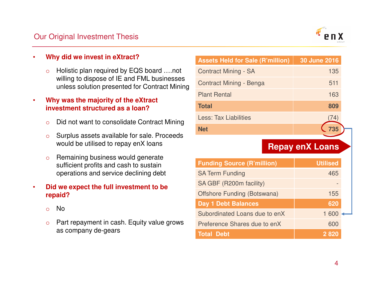# Our Original Investment Thesis



#### •**Why did we invest in eXtract?**

○ Holistic plan required by EQS board ....not willing to dispose of IE and FML businesses unless solution presented for Contract Mining

• **Why was the majority of the eXtract investment structured as a loan?**

- oDid not want to consolidate Contract Mining
- o Surplus assets available for sale. Proceeds would be utilised to repay enX loans
- o Remaining business would generate sufficient profits and cash to sustain operations and service declining debt

### • **Did we expect the full investment to be repaid?**

- oNo
- $\circ$  Part repayment in cash. Equity value grows as company de-gears

| <b>Assets Held for Sale (R'million)</b> | 30 June 2016 |
|-----------------------------------------|--------------|
| <b>Contract Mining - SA</b>             | 135          |
| Contract Mining - Benga                 | 511          |
| <b>Plant Rental</b>                     | 163          |
| <b>Total</b>                            | 809          |
| <b>Less: Tax Liabilities</b>            | (4)          |
| Net                                     |              |

# **Repay enX Loans**

| <b>Funding Source (R'million)</b>  | <b>Utilised</b> |  |
|------------------------------------|-----------------|--|
| <b>SA Term Funding</b>             | 465             |  |
| SA GBF (R200m facility)            |                 |  |
| <b>Offshore Funding (Botswana)</b> | 155             |  |
| <b>Day 1 Debt Balances</b>         | 620             |  |
| Subordinated Loans due to enX      | 1 600           |  |
| Preference Shares due to enX       | 600             |  |
| <b>Total Debt</b>                  | 2 8 2 0         |  |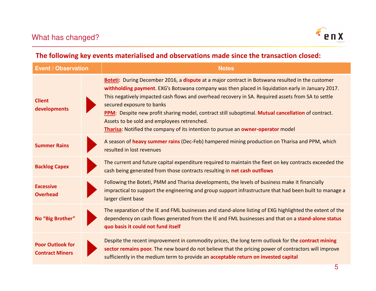

# **The following key events materialised and observations made since the transaction closed:**

| <b>Event / Observation</b>                        |  | <b>Notes</b>                                                                                                                                                                                                                                                                                                                                                                                                                                                                                                                                                                      |
|---------------------------------------------------|--|-----------------------------------------------------------------------------------------------------------------------------------------------------------------------------------------------------------------------------------------------------------------------------------------------------------------------------------------------------------------------------------------------------------------------------------------------------------------------------------------------------------------------------------------------------------------------------------|
| <b>Client</b><br>developments                     |  | Boteti: During December 2016, a dispute at a major contract in Botswana resulted in the customer<br>withholding payment. EXG's Botswana company was then placed in liquidation early in January 2017.<br>This negatively impacted cash flows and overhead recovery in SA. Required assets from SA to settle<br>secured exposure to banks<br>PPM: Despite new profit sharing model, contract still suboptimal. Mutual cancellation of contract.<br>Assets to be sold and employees retrenched.<br>Tharisa: Notified the company of its intention to pursue an owner-operator model |
| <b>Summer Rains</b>                               |  | A season of heavy summer rains (Dec-Feb) hampered mining production on Tharisa and PPM, which<br>resulted in lost revenues                                                                                                                                                                                                                                                                                                                                                                                                                                                        |
| <b>Backlog Capex</b>                              |  | The current and future capital expenditure required to maintain the fleet on key contracts exceeded the<br>cash being generated from those contracts resulting in net cash outflows                                                                                                                                                                                                                                                                                                                                                                                               |
| <b>Excessive</b><br><b>Overhead</b>               |  | Following the Boteti, PMM and Tharisa developments, the levels of business make it financially<br>impractical to support the engineering and group support infrastructure that had been built to manage a<br>larger client base                                                                                                                                                                                                                                                                                                                                                   |
| No "Big Brother"                                  |  | The separation of the IE and FML businesses and stand-alone listing of EXG highlighted the extent of the<br>dependency on cash flows generated from the IE and FML businesses and that on a stand-alone status<br>quo basis it could not fund itself                                                                                                                                                                                                                                                                                                                              |
| <b>Poor Outlook for</b><br><b>Contract Miners</b> |  | Despite the recent improvement in commodity prices, the long term outlook for the contract mining<br>sector remains poor. The new board do not believe that the pricing power of contractors will improve<br>sufficiently in the medium term to provide an acceptable return on invested capital                                                                                                                                                                                                                                                                                  |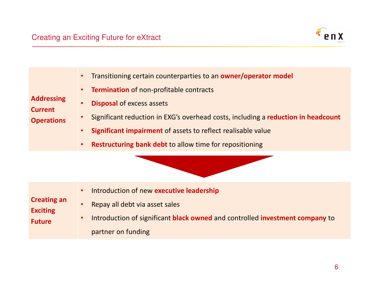

| <b>Addressing</b><br><b>Current</b><br><b>Operations</b> | Transitioning certain counterparties to an owner/operator model<br><b>Termination</b> of non-profitable contracts<br><b>Disposal of excess assets</b><br>Significant reduction in EXG's overhead costs, including a reduction in headcount<br><b>Significant impairment</b> of assets to reflect realisable value<br><b>Restructuring bank debt to allow time for repositioning</b> |
|----------------------------------------------------------|-------------------------------------------------------------------------------------------------------------------------------------------------------------------------------------------------------------------------------------------------------------------------------------------------------------------------------------------------------------------------------------|
|                                                          |                                                                                                                                                                                                                                                                                                                                                                                     |
| <b>Creating an</b><br><b>Exciting</b><br><b>Future</b>   | Introduction of new executive leadership<br>Repay all debt via asset sales<br>Introduction of significant black owned and controlled investment company to<br>partner on funding                                                                                                                                                                                                    |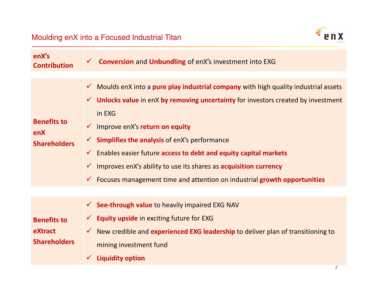

| enX's<br><b>Contribution</b>                         | <b>Conversion and Unbundling of enX's investment into EXG</b><br>$\checkmark$                                                                                                                                                                                                                                                                                                                                                                                                                                                                                                                    |
|------------------------------------------------------|--------------------------------------------------------------------------------------------------------------------------------------------------------------------------------------------------------------------------------------------------------------------------------------------------------------------------------------------------------------------------------------------------------------------------------------------------------------------------------------------------------------------------------------------------------------------------------------------------|
| <b>Benefits to</b><br>enX<br><b>Shareholders</b>     | Moulds enX into a pure play industrial company with high quality industrial assets<br>$\checkmark$<br>$\checkmark$ Unlocks value in enX by removing uncertainty for investors created by investment<br>in EXG<br>Improve enX's return on equity<br>$\checkmark$<br><b>Simplifies the analysis of enX's performance</b><br>Enables easier future access to debt and equity capital markets<br>$\checkmark$<br>Improves enX's ability to use its shares as <b>acquisition currency</b><br>$\checkmark$<br>Focuses management time and attention on industrial growth opportunities<br>$\checkmark$ |
| <b>Benefits to</b><br>eXtract<br><b>Shareholders</b> | $\checkmark$ See-through value to heavily impaired EXG NAV<br><b>Equity upside in exciting future for EXG</b><br>New credible and experienced EXG leadership to deliver plan of transitioning to<br>mining investment fund<br><b>Liquidity option</b>                                                                                                                                                                                                                                                                                                                                            |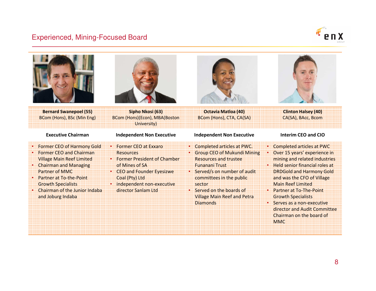### Experienced, Mining-Focused Board



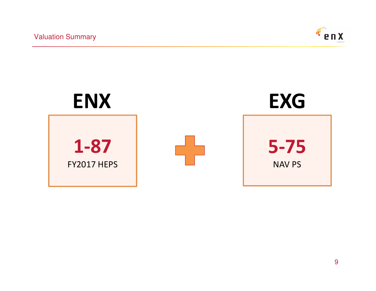Valuation Summary



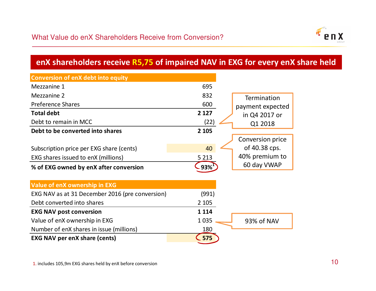

# **enX shareholders receive R5,75 of impaired NAV in EXG for every enX share held**

| <b>Conversion of enX debt into equity</b>       |         |                    |
|-------------------------------------------------|---------|--------------------|
| Mezzanine 1                                     | 695     |                    |
| Mezzanine 2                                     | 832     | <b>Termination</b> |
| <b>Preference Shares</b>                        | 600     | payment expected   |
| <b>Total debt</b>                               | 2 1 2 7 | in Q4 2017 or      |
| Debt to remain in MCC                           | (22)    | Q1 2018            |
| Debt to be converted into shares                | 2 1 0 5 |                    |
|                                                 |         | Conversion price   |
| Subscription price per EXG share (cents)        | 40      | of 40.38 cps.      |
| EXG shares issued to enX (millions)             | 5 2 1 3 | 40% premium to     |
| % of EXG owned by enX after conversion          | 93%     | 60 day VWAP        |
|                                                 |         |                    |
| <b>Value of enX ownership in EXG</b>            |         |                    |
| EXG NAV as at 31 December 2016 (pre conversion) | (991)   |                    |
| Debt converted into shares                      | 2 1 0 5 |                    |
| <b>EXG NAV post conversion</b>                  | 1 1 1 4 |                    |
| Value of enX ownership in EXG                   | 1035    | 93% of NAV         |
| Number of enX shares in issue (millions)        | 180     |                    |
| <b>EXG NAV per enX share (cents)</b>            | .575    |                    |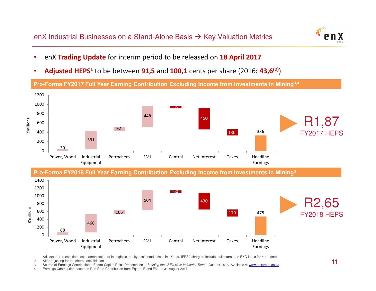enX Industrial Businesses on a Stand-Alone Basis  $\rightarrow$  Key Valuation Metrics



- •enX **Trading Update** for interim period to be released on **18 April 2017**
- •**Adjusted HEPS<sup>1</sup>** to be between **91,5** and **100,1** cents per share (2016**: 43,6(2)**)



Petrochem FML Central Net interest Taxes Headline

Earnings

2.After adjusting for the share consolidation

Power, Wood Industrial

Equipment

68

 $\overline{0}$ 

Source of Earnings Contributions: Eqstra Capital Raise Presentation - "Building the JSE's Next Industrial Titan" - October 2016. Available at www.enxgroup.co.za 3.

4.Earnings Contribution based on Run-Rate Contribution from Eqstra IE and FML to 31 August 2017

<sup>1.</sup>Adjusted for transaction costs, amortisation of intangibles, equity accounted losses in eXtract, IFRS2 charges. Includes full interest on EXG loans for  $\sim$  4 months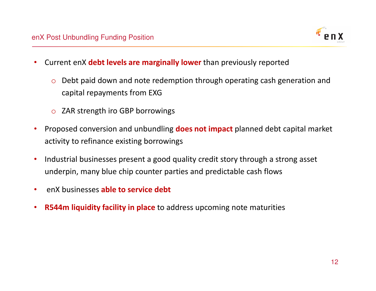

- $\bullet$  Current enX **debt levels are marginally lower** than previously reported
	- o Debt paid down and note redemption through operating cash generation and capital repayments from EXG
	- o ZAR strength iro GBP borrowings
- $\bullet$  Proposed conversion and unbundling **does not impact** planned debt capital market activity to refinance existing borrowings
- $\bullet$  Industrial businesses present a good quality credit story through a strong asset underpin, many blue chip counter parties and predictable cash flows
- $\bullet$ enX businesses **able to service debt**
- $\bullet$ **R544m liquidity facility in place** to address upcoming note maturities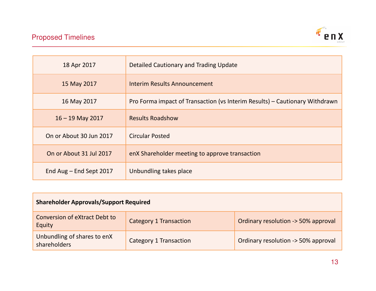

| 18 Apr 2017             | Detailed Cautionary and Trading Update                                      |
|-------------------------|-----------------------------------------------------------------------------|
| 15 May 2017             | Interim Results Announcement                                                |
| 16 May 2017             | Pro Forma impact of Transaction (vs Interim Results) – Cautionary Withdrawn |
| $16 - 19$ May 2017      | <b>Results Roadshow</b>                                                     |
| On or About 30 Jun 2017 | <b>Circular Posted</b>                                                      |
| On or About 31 Jul 2017 | enX Shareholder meeting to approve transaction                              |
| End Aug - End Sept 2017 | Unbundling takes place                                                      |

| <b>Shareholder Approvals/Support Required</b>  |                               |                                     |  |
|------------------------------------------------|-------------------------------|-------------------------------------|--|
| <b>Conversion of eXtract Debt to</b><br>Equity | <b>Category 1 Transaction</b> | Ordinary resolution -> 50% approval |  |
| Unbundling of shares to enX<br>shareholders    | <b>Category 1 Transaction</b> | Ordinary resolution -> 50% approval |  |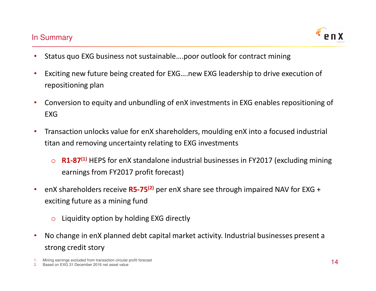# In Summary



- •Status quo EXG business not sustainable….poor outlook for contract mining
- $\bullet$  Exciting new future being created for EXG….new EXG leadership to drive execution of repositioning plan
- $\bullet$  Conversion to equity and unbundling of enX investments in EXG enables repositioning of EXG
- $\bullet$  Transaction unlocks value for enX shareholders, moulding enX into a focused industrial titan and removing uncertainty relating to EXG investments
	- o **R1-87(1)** HEPS for enX standalone industrial businesses in FY2017 (excluding mining earnings from FY2017 profit forecast)
- $\bullet$  enX shareholders receive **R5-75(2)** per enX share see through impaired NAV for EXG + exciting future as a mining fund
	- oLiquidity option by holding EXG directly
- $\bullet$  No change in enX planned debt capital market activity. Industrial businesses present a strong credit story

1.Mining earnings excluded from transaction circular profit forecast

2.Based on EXG 31 December 2016 net asset value